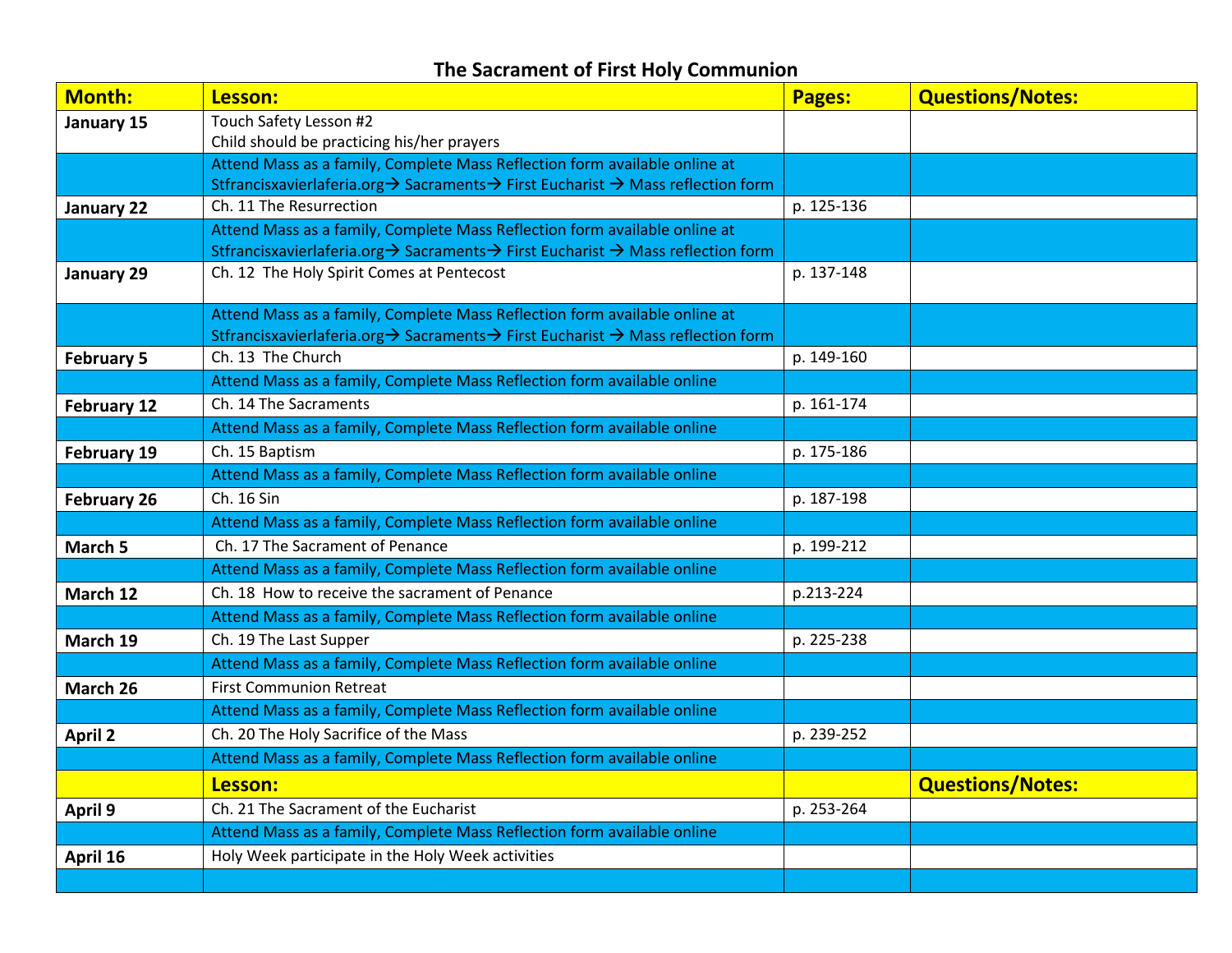## **The Sacrament of First Holy Communion**

| <b>Month:</b>      | Lesson:                                                                                                                                                        | Pages:     | <b>Questions/Notes:</b> |
|--------------------|----------------------------------------------------------------------------------------------------------------------------------------------------------------|------------|-------------------------|
| January 15         | Touch Safety Lesson #2                                                                                                                                         |            |                         |
|                    | Child should be practicing his/her prayers                                                                                                                     |            |                         |
|                    | Attend Mass as a family, Complete Mass Reflection form available online at                                                                                     |            |                         |
|                    | Stfrancisxavierlaferia.org → Sacraments → First Eucharist → Mass reflection form                                                                               |            |                         |
| January 22         | Ch. 11 The Resurrection                                                                                                                                        | p. 125-136 |                         |
|                    | Attend Mass as a family, Complete Mass Reflection form available online at<br>Stfrancisxavierlaferia.org → Sacraments → First Eucharist → Mass reflection form |            |                         |
| January 29         | Ch. 12 The Holy Spirit Comes at Pentecost                                                                                                                      | p. 137-148 |                         |
|                    |                                                                                                                                                                |            |                         |
|                    | Attend Mass as a family, Complete Mass Reflection form available online at                                                                                     |            |                         |
|                    | Stfrancisxavierlaferia.org → Sacraments → First Eucharist → Mass reflection form                                                                               |            |                         |
| <b>February 5</b>  | Ch. 13 The Church                                                                                                                                              | p. 149-160 |                         |
|                    | Attend Mass as a family, Complete Mass Reflection form available online                                                                                        |            |                         |
| <b>February 12</b> | Ch. 14 The Sacraments                                                                                                                                          | p. 161-174 |                         |
|                    | Attend Mass as a family, Complete Mass Reflection form available online                                                                                        |            |                         |
| <b>February 19</b> | Ch. 15 Baptism                                                                                                                                                 | p. 175-186 |                         |
|                    | Attend Mass as a family, Complete Mass Reflection form available online                                                                                        |            |                         |
| <b>February 26</b> | Ch. 16 Sin                                                                                                                                                     | p. 187-198 |                         |
|                    | Attend Mass as a family, Complete Mass Reflection form available online                                                                                        |            |                         |
| March 5            | Ch. 17 The Sacrament of Penance                                                                                                                                | p. 199-212 |                         |
|                    | Attend Mass as a family, Complete Mass Reflection form available online                                                                                        |            |                         |
| March 12           | Ch. 18 How to receive the sacrament of Penance                                                                                                                 | p.213-224  |                         |
|                    | Attend Mass as a family, Complete Mass Reflection form available online                                                                                        |            |                         |
| March 19           | Ch. 19 The Last Supper                                                                                                                                         | p. 225-238 |                         |
|                    | Attend Mass as a family, Complete Mass Reflection form available online                                                                                        |            |                         |
| March 26           | <b>First Communion Retreat</b>                                                                                                                                 |            |                         |
|                    | Attend Mass as a family, Complete Mass Reflection form available online                                                                                        |            |                         |
| <b>April 2</b>     | Ch. 20 The Holy Sacrifice of the Mass                                                                                                                          | p. 239-252 |                         |
|                    | Attend Mass as a family, Complete Mass Reflection form available online                                                                                        |            |                         |
|                    | Lesson:                                                                                                                                                        |            | <b>Questions/Notes:</b> |
| April 9            | Ch. 21 The Sacrament of the Eucharist                                                                                                                          | p. 253-264 |                         |
|                    | Attend Mass as a family, Complete Mass Reflection form available online                                                                                        |            |                         |
| April 16           | Holy Week participate in the Holy Week activities                                                                                                              |            |                         |
|                    |                                                                                                                                                                |            |                         |